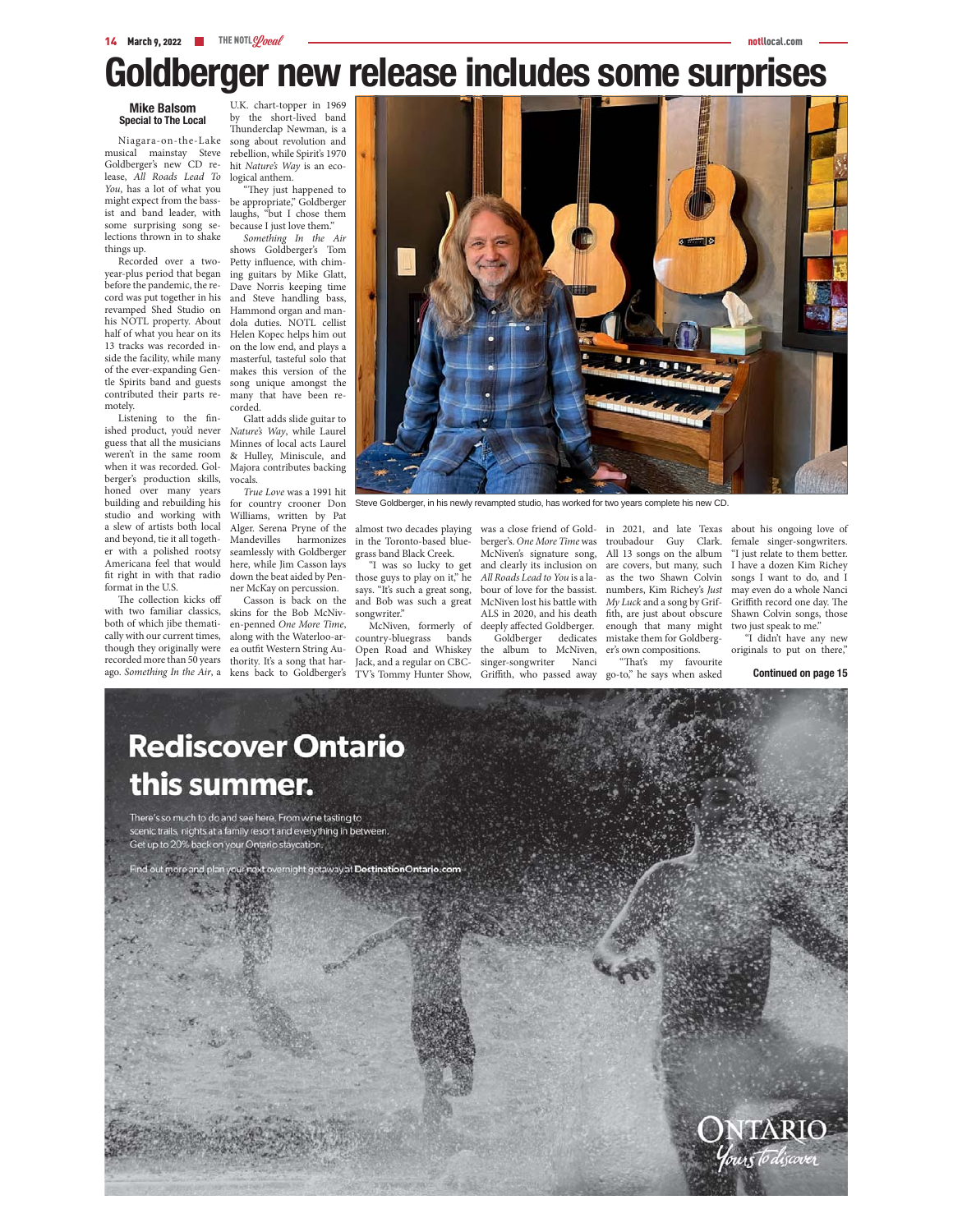# **Goldberger new release includes some surprises**

### **Mike Balsom Special to The Local**

Niagara-on-the-Lake Goldberger's new CD release, *All Roads Lead To You*, has a lot of what you might expect from the bassist and band leader, with some surprising song selections thrown in to shake things up.

Recorded over a twobefore the pandemic, the record was put together in his revamped Shed Studio on Hammond organ and man-13 tracks was recorded inof the ever-expanding Gencontributed their parts remotely.

Listening to the finished product, you'd never guess that all the musicians weren't in the same room when it was recorded. Golberger's production skills, honed over many years building and rebuilding his studio and working with a slew of artists both local and beyond, tie it all together with a polished rootsy fit right in with that radio format in the U.S.

The collection kicks off both of which jibe thematically with our current times, though they originally were

musical mainstay Steve rebellion, while Spirit's 1970 U.K. chart-topper in 1969 by the short-lived band Thunderclap Newman, is a song about revolution and hit *Nature's Way* is an ecological anthem.

"They just happened to be appropriate," Goldberger laughs, "but I chose them because I just love them."

year-plus period that began ing guitars by Mike Glatt, his NOTL property. About dola duties. NOTL cellist half of what you hear on its Helen Kopec helps him out side the facility, while many masterful, tasteful solo that tle Spirits band and guests song unique amongst the *Something In the Air* shows Goldberger's Tom Petty influence, with chim-Dave Norris keeping time and Steve handling bass, on the low end, and plays a makes this version of the many that have been recorded.

Glatt adds slide guitar to *Nature's Way*, while Laurel Minnes of local acts Laurel & Hulley, Miniscule, and Majora contributes backing vocals.

Americana feel that would here, while Jim Casson lays *True Love* was a 1991 hit for country crooner Don Williams, written by Pat Alger. Serena Pryne of the Mandevilles harmonizes seamlessly with Goldberger down the beat aided by Penner McKay on percussion.

with two familiar classics, skins for the Bob McNivrecorded more than 50 years thority. It's a song that harago. *Something In the Air*, a kens back to Goldberger's Casson is back on the en-penned *One More Time*, along with the Waterloo-area outfit Western String Au-



Steve Goldberger, in his newly revampted studio, has worked for two years complete his new CD.

in the Toronto-based bluegrass band Black Creek.

"I was so lucky to get those guys to play on it," he says. "It's such a great song, and Bob was such a great songwriter."

McNiven, formerly of country-bluegrass bands Open Road and Whiskey Jack, and a regular on CBC-TV's Tommy Hunter Show,

berger's. *One More Time* was troubadour Guy Clark. McNiven's signature song, All 13 songs on the album and clearly its inclusion on are covers, but many, such *All Roads Lead to You* is a la-as the two Shawn Colvin bour of love for the bassist. numbers, Kim Richey's *Just*  McNiven lost his battle with *My Luck* and a song by Grif-ALS in 2020, and his death fith, are just about obscure deeply affected Goldberger. Goldberger dedicates

the album to McNiven, er's own compositions. singer-songwriter Nanci Griffith, who passed away

enough that many might mistake them for Goldberg-

"That's my favourite go-to," he says when asked

almost two decades playing was a close friend of Gold-in 2021, and late Texas about his ongoing love of female singer-songwriters. "I just relate to them better. I have a dozen Kim Richey songs I want to do, and I may even do a whole Nanci Griffith record one day. The Shawn Colvin songs, those two just speak to me."

"I didn't have any new originals to put on there,"

**Continued on page 15**

### **Rediscover Ontario** this summer.

There's so much to do and see here. From wine tasting to scenic trails, nights at a family resort and everything in between. Get up to 20% back on your Ontario staycation

ht getaway at DestinationOntario.com